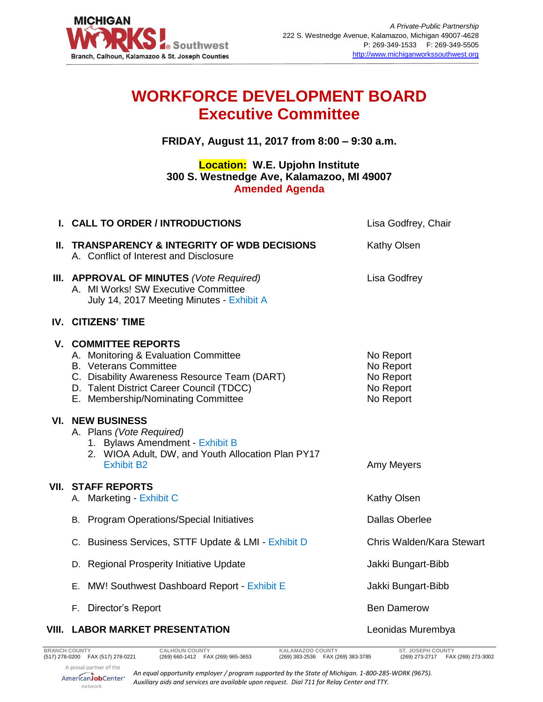

## **WORKFORCE DEVELOPMENT BOARD Executive Committee**

**FRIDAY, August 11, 2017 from 8:00 – 9:30 a.m.**

## **Location: W.E. Upjohn Institute 300 S. Westnedge Ave, Kalamazoo, MI 49007 Amended Agenda**

| I. CALL TO ORDER / INTRODUCTIONS                                                                                                                                                                                                      | Lisa Godfrey, Chair                                           |
|---------------------------------------------------------------------------------------------------------------------------------------------------------------------------------------------------------------------------------------|---------------------------------------------------------------|
| II. TRANSPARENCY & INTEGRITY OF WDB DECISIONS<br>A. Conflict of Interest and Disclosure                                                                                                                                               | Kathy Olsen                                                   |
| III. APPROVAL OF MINUTES (Vote Required)<br>A. MI Works! SW Executive Committee<br>July 14, 2017 Meeting Minutes - Exhibit A                                                                                                          | Lisa Godfrey                                                  |
| IV. CITIZENS' TIME                                                                                                                                                                                                                    |                                                               |
| <b>V. COMMITTEE REPORTS</b><br>A. Monitoring & Evaluation Committee<br><b>B.</b> Veterans Committee<br>C. Disability Awareness Resource Team (DART)<br>D. Talent District Career Council (TDCC)<br>E. Membership/Nominating Committee | No Report<br>No Report<br>No Report<br>No Report<br>No Report |
| <b>VI. NEW BUSINESS</b><br>A. Plans (Vote Required)<br>1. Bylaws Amendment - Exhibit B<br>2. WIOA Adult, DW, and Youth Allocation Plan PY17<br><b>Exhibit B2</b>                                                                      | Amy Meyers                                                    |
| <b>VII. STAFF REPORTS</b><br>A. Marketing - Exhibit C                                                                                                                                                                                 | Kathy Olsen                                                   |
| <b>B.</b> Program Operations/Special Initiatives                                                                                                                                                                                      | <b>Dallas Oberlee</b>                                         |
| C. Business Services, STTF Update & LMI - Exhibit D                                                                                                                                                                                   | Chris Walden/Kara Stewart                                     |
| D. Regional Prosperity Initiative Update                                                                                                                                                                                              | Jakki Bungart-Bibb                                            |
| E. MW! Southwest Dashboard Report - Exhibit E                                                                                                                                                                                         | Jakki Bungart-Bibb                                            |
| F. Director's Report                                                                                                                                                                                                                  | <b>Ben Damerow</b>                                            |
| VIII. LABOR MARKET PRESENTATION                                                                                                                                                                                                       | Leonidas Murembya                                             |

A proud partner of the

AmericanJobCenter\* network

*An equal opportunity employer / program supported by the State of Michigan. 1-800-285-WORK (9675). Auxiliary aids and services are available upon request. Dial 711 for Relay Center and TTY.*